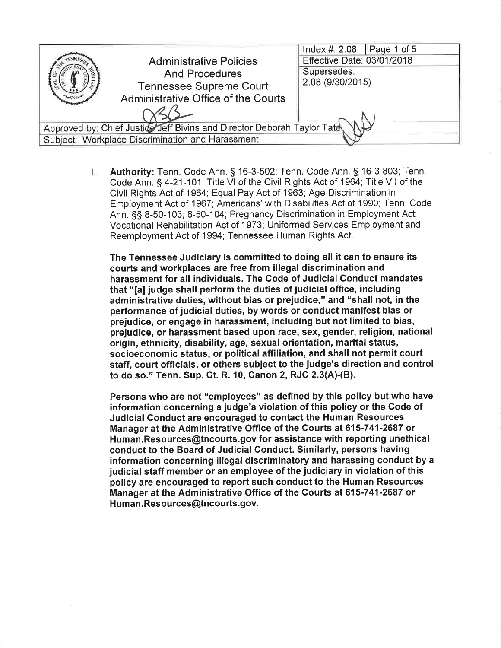|                                                                         |                                                         | Index #: 2.08<br>$\vert$ Page 1 of 5 |
|-------------------------------------------------------------------------|---------------------------------------------------------|--------------------------------------|
|                                                                         | <b>Administrative Policies</b><br><b>And Procedures</b> | <b>Effective Date: 03/01/2018</b>    |
|                                                                         |                                                         | Supersedes:                          |
|                                                                         | <b>Tennessee Supreme Court</b>                          | 2.08 (9/30/2015)                     |
|                                                                         | Administrative Office of the Courts                     |                                      |
|                                                                         |                                                         |                                      |
| Approved by: Chief Justice Jeff Bivins and Director Deborah Taylor Tate |                                                         |                                      |
| Subject: Workplace Discrimination and Harassment                        |                                                         |                                      |

Authority: Tenn. Code Ann. § 16-3-502; Tenn. Code Ann. § 16-3-803; Tenn. I., Code Ann. § 4-21-101; Title VI of the Civil Rights Act of 1964; Title VII of the Civil Rights Act of 1964; Equal Pay Act of 1963; Age Discrimination in Employment Act of 1967; Americans' with Disabilities Act of 1990; Tenn. Code Ann. §§ 8-50-103; 8-50-104; Pregnancy Discrimination in Employment Act; Vocational Rehabilitation Act of 1973; Uniformed Services Employment and Reemployment Act of 1994; Tennessee Human Rights Act.

The Tennessee Judiciary is committed to doing all it can to ensure its courts and workplaces are free from illegal discrimination and harassment for all individuals. The Code of Judicial Conduct mandates that "[a] judge shall perform the duties of judicial office, including administrative duties, without bias or prejudice," and "shall not, in the performance of judicial duties, by words or conduct manifest bias or prejudice, or engage in harassment, including but not limited to bias, prejudice, or harassment based upon race, sex, gender, religion, national origin, ethnicity, disability, age, sexual orientation, marital status, socioeconomic status, or political affiliation, and shall not permit court staff, court officials, or others subject to the judge's direction and control to do so." Tenn. Sup. Ct. R. 10, Canon 2, RJC 2.3(A)-(B).

Persons who are not "employees" as defined by this policy but who have information concerning a judge's violation of this policy or the Code of Judicial Conduct are encouraged to contact the Human Resources Manager at the Administrative Office of the Courts at 615-741-2687 or Human.Resources@tncourts.gov for assistance with reporting unethical conduct to the Board of Judicial Conduct. Similarly, persons having information concerning illegal discriminatory and harassing conduct by a judicial staff member or an employee of the judiciary in violation of this policy are encouraged to report such conduct to the Human Resources Manager at the Administrative Office of the Courts at 615-741-2687 or Human.Resources@tncourts.gov.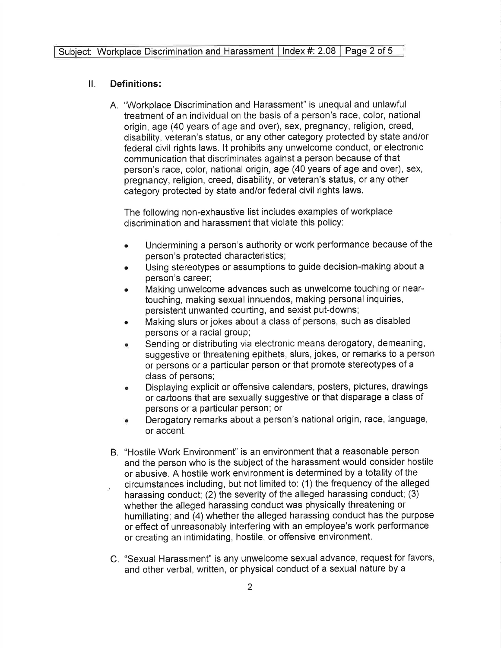## $\Pi$ . **Definitions:**

A. "Workplace Discrimination and Harassment" is unequal and unlawful treatment of an individual on the basis of a person's race, color, national origin, age (40 years of age and over), sex, pregnancy, religion, creed, disability, veteran's status, or any other category protected by state and/or federal civil rights laws. It prohibits any unwelcome conduct, or electronic communication that discriminates against a person because of that person's race, color, national origin, age (40 years of age and over), sex, pregnancy, religion, creed, disability, or veteran's status, or any other category protected by state and/or federal civil rights laws.

The following non-exhaustive list includes examples of workplace discrimination and harassment that violate this policy:

- Undermining a person's authority or work performance because of the  $\blacksquare$ person's protected characteristics;
- Using stereotypes or assumptions to guide decision-making about a person's career;
- Making unwelcome advances such as unwelcome touching or neartouching, making sexual innuendos, making personal inquiries, persistent unwanted courting, and sexist put-downs;
- Making slurs or jokes about a class of persons, such as disabled persons or a racial group;
- Sending or distributing via electronic means derogatory, demeaning, suggestive or threatening epithets, slurs, jokes, or remarks to a person or persons or a particular person or that promote stereotypes of a class of persons:
- Displaying explicit or offensive calendars, posters, pictures, drawings Ä or cartoons that are sexually suggestive or that disparage a class of persons or a particular person; or
- Derogatory remarks about a person's national origin, race, language, or accent.
- B. "Hostile Work Environment" is an environment that a reasonable person and the person who is the subject of the harassment would consider hostile or abusive. A hostile work environment is determined by a totality of the circumstances including, but not limited to: (1) the frequency of the alleged harassing conduct; (2) the severity of the alleged harassing conduct; (3) whether the alleged harassing conduct was physically threatening or humiliating; and (4) whether the alleged harassing conduct has the purpose or effect of unreasonably interfering with an employee's work performance or creating an intimidating, hostile, or offensive environment.
- C. "Sexual Harassment" is any unwelcome sexual advance, request for favors, and other verbal, written, or physical conduct of a sexual nature by a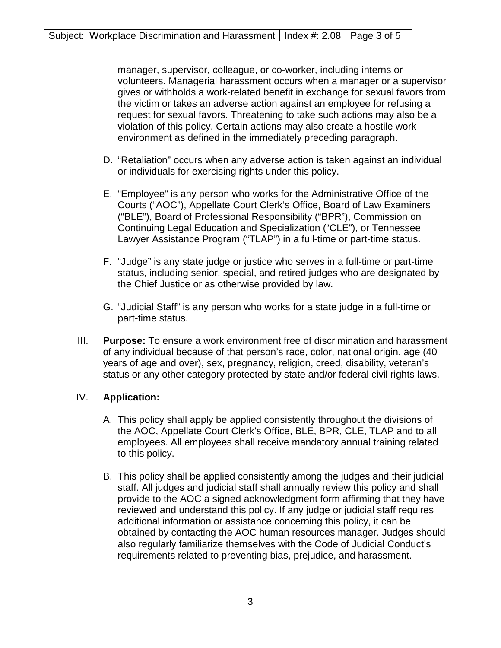manager, supervisor, colleague, or co-worker, including interns or volunteers. Managerial harassment occurs when a manager or a supervisor gives or withholds a work-related benefit in exchange for sexual favors from the victim or takes an adverse action against an employee for refusing a request for sexual favors. Threatening to take such actions may also be a violation of this policy. Certain actions may also create a hostile work environment as defined in the immediately preceding paragraph.

- D. "Retaliation" occurs when any adverse action is taken against an individual or individuals for exercising rights under this policy.
- E. "Employee" is any person who works for the Administrative Office of the Courts ("AOC"), Appellate Court Clerk's Office, Board of Law Examiners ("BLE"), Board of Professional Responsibility ("BPR"), Commission on Continuing Legal Education and Specialization ("CLE"), or Tennessee Lawyer Assistance Program ("TLAP") in a full-time or part-time status.
- F. "Judge" is any state judge or justice who serves in a full-time or part-time status, including senior, special, and retired judges who are designated by the Chief Justice or as otherwise provided by law.
- G. "Judicial Staff" is any person who works for a state judge in a full-time or part-time status.
- III. **Purpose:** To ensure a work environment free of discrimination and harassment of any individual because of that person's race, color, national origin, age (40 years of age and over), sex, pregnancy, religion, creed, disability, veteran's status or any other category protected by state and/or federal civil rights laws.

## IV. **Application:**

- A. This policy shall apply be applied consistently throughout the divisions of the AOC, Appellate Court Clerk's Office, BLE, BPR, CLE, TLAP and to all employees. All employees shall receive mandatory annual training related to this policy.
- B. This policy shall be applied consistently among the judges and their judicial staff. All judges and judicial staff shall annually review this policy and shall provide to the AOC a signed acknowledgment form affirming that they have reviewed and understand this policy. If any judge or judicial staff requires additional information or assistance concerning this policy, it can be obtained by contacting the AOC human resources manager. Judges should also regularly familiarize themselves with the Code of Judicial Conduct's requirements related to preventing bias, prejudice, and harassment.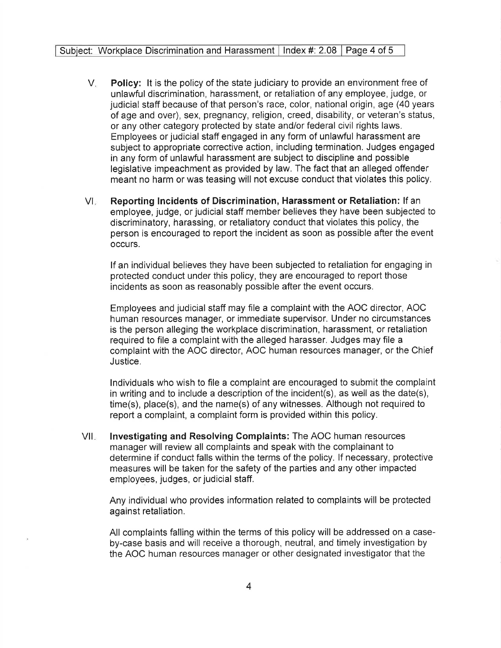- $V_{\star}$ **Policy:** It is the policy of the state judiciary to provide an environment free of unlawful discrimination, harassment, or retaliation of any employee, judge, or judicial staff because of that person's race, color, national origin, age (40 years of age and over), sex, pregnancy, religion, creed, disability, or veteran's status, or any other category protected by state and/or federal civil rights laws. Employees or judicial staff engaged in any form of unlawful harassment are subject to appropriate corrective action, including termination. Judges engaged in any form of unlawful harassment are subject to discipline and possible legislative impeachment as provided by law. The fact that an alleged offender meant no harm or was teasing will not excuse conduct that violates this policy.
- $\mathbb{U}$ Reporting Incidents of Discrimination, Harassment or Retaliation: If an employee, judge, or judicial staff member believes they have been subjected to discriminatory, harassing, or retaliatory conduct that violates this policy. the person is encouraged to report the incident as soon as possible after the event occurs.

If an individual believes they have been subjected to retaliation for engaging in protected conduct under this policy, they are encouraged to report those incidents as soon as reasonably possible after the event occurs.

Employees and judicial staff may file a complaint with the AOC director, AOC human resources manager, or immediate supervisor. Under no circumstances is the person alleging the workplace discrimination, harassment, or retaliation required to file a complaint with the alleged harasser. Judges may file a complaint with the AOC director, AOC human resources manager, or the Chief Justice.

Individuals who wish to file a complaint are encouraged to submit the complaint in writing and to include a description of the incident(s), as well as the date(s), time(s), place(s), and the name(s) of any witnesses. Although not required to report a complaint, a complaint form is provided within this policy.

 $VII_{\infty}$ Investigating and Resolving Complaints: The AOC human resources manager will review all complaints and speak with the complainant to determine if conduct falls within the terms of the policy. If necessary, protective measures will be taken for the safety of the parties and any other impacted employees, judges, or judicial staff.

Any individual who provides information related to complaints will be protected against retaliation.

All complaints falling within the terms of this policy will be addressed on a caseby-case basis and will receive a thorough, neutral, and timely investigation by the AOC human resources manager or other designated investigator that the